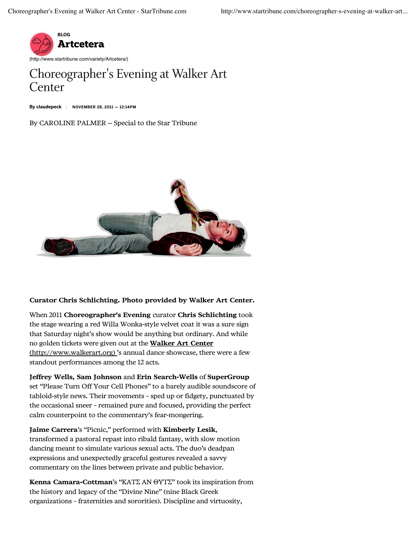

## Choreographer's Evening at Walker Art Center

By claudepeck | NOVEMBER 28, 2011 - 12:14PM

## By CAROLINE PALMER -- Special to the Star Tribune



## Curator Chris Schlichting. Photo provided by Walker Art Center.

When 2011 Choreographer's Evening curator Chris Schlichting took the stage wearing a red Willa Wonka-style velvet coat it was a sure sign that Saturday night's show would be anything but ordinary. And while no golden tickets were given out at the Walker Art Center (http://www.walkerart.org) 's annual dance showcase, there were a few standout performances among the 12 acts.

Jeffrey Wells, Sam Johnson and Erin Search-Wells of SuperGroup set "Please Turn Off Your Cell Phones" to a barely audible soundscore of tabloid-style news. Their movements – sped up or fidgety, punctuated by the occasional sneer – remained pure and focused, providing the perfect calm counterpoint to the commentary's fear-mongering.

Jaime Carrera's "Picnic," performed with Kimberly Lesik, transformed a pastoral repast into ribald fantasy, with slow motion dancing meant to simulate various sexual acts. The duo's deadpan expressions and unexpectedly graceful gestures revealed a savvy commentary on the lines between private and public behavior.

Kenna Camara-Cottman's "KATΣ AN ΘYTΣ" took its inspiration from the history and legacy of the "Divine Nine" (nine Black Greek organizations – fraternities and sororities). Discipline and virtuosity,